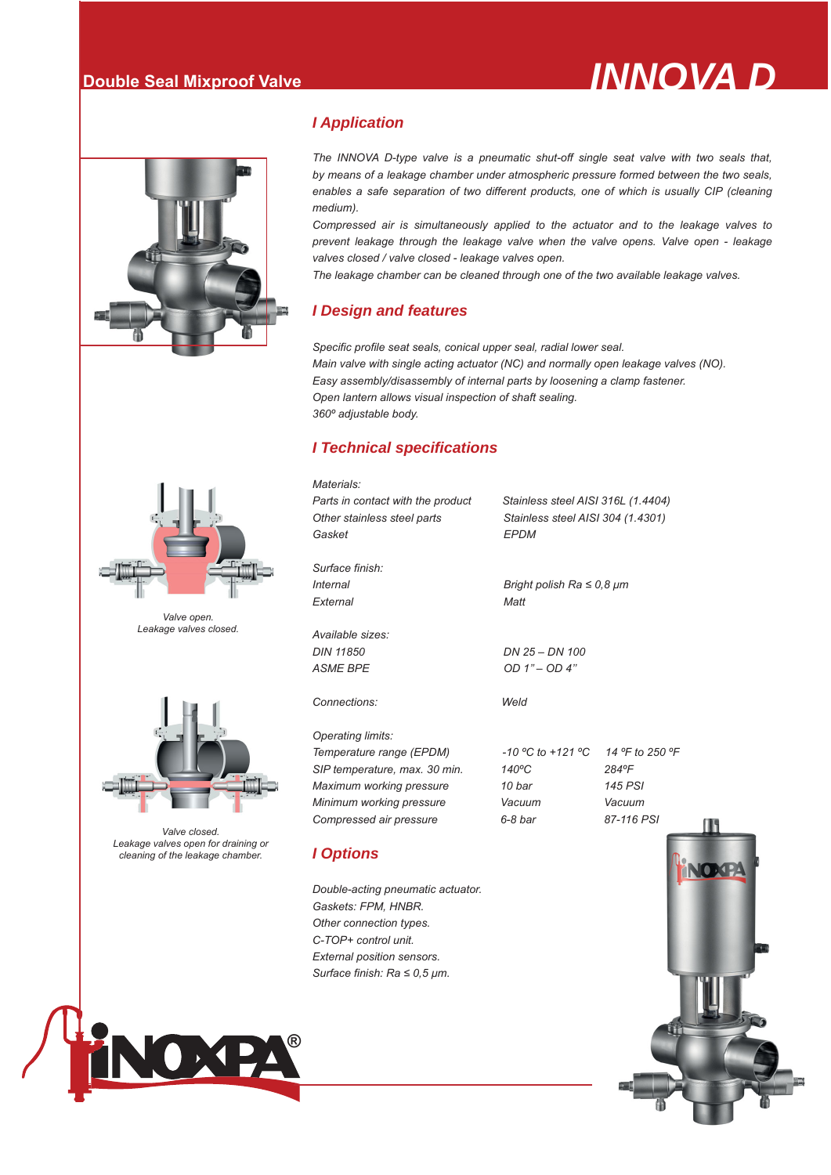



*Valve open. Leakage valves closed.*

*Valve closed. Leakage valves open for draining or cleaning of the leakage chamber.*

## *I Application*

*The INNOVA D-type valve is a pneumatic shut-off single seat valve with two seals that, by means of a leakage chamber under atmospheric pressure formed between the two seals,*  enables a safe separation of two different products, one of which is usually CIP (cleaning *medium).*

*Compressed air is simultaneously applied to the actuator and to the leakage valves to prevent leakage through the leakage valve when the valve opens. Valve open - leakage valves closed / valve closed - leakage valves open.* 

*The leakage chamber can be cleaned through one of the two available leakage valves.*

## *I Design and features*

*Specific profile seat seals, conical upper seal, radial lower seal. Main valve with single acting actuator (NC) and normally open leakage valves (NO). Easy assembly/disassembly of internal parts by loosening a clamp fastener. Open lantern allows visual inspection of shaft sealing. 360º adjustable body.*

### *I Technical specifications*



*Other connection types. C-TOP+ control unit. External position sensors. Surface finish: Ra ≤ 0,5 μm.*

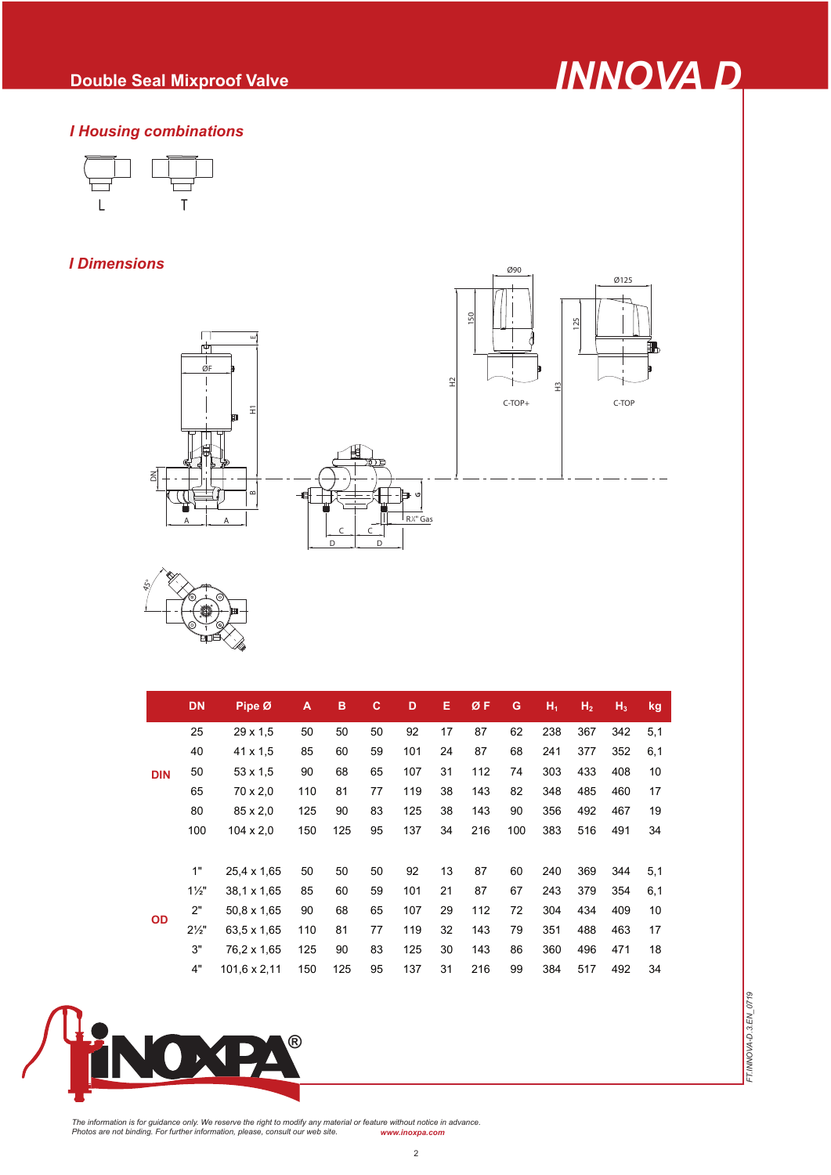

*FT.INNOVA-D.3.EN\_0719*

FT.INNOVA-D.3.EN\_0719

# *I Housing combinations*



# *I Dimensions*





|            | <b>DN</b>        | Pipe Ø           | A   | в   | c  | D   | Е  | ØF  | G   | $H_1$ | H <sub>2</sub> | $H_3$ | kg  |
|------------|------------------|------------------|-----|-----|----|-----|----|-----|-----|-------|----------------|-------|-----|
| <b>DIN</b> | 25               | $29 \times 1.5$  | 50  | 50  | 50 | 92  | 17 | 87  | 62  | 238   | 367            | 342   | 5,1 |
|            | 40               | $41 \times 1.5$  | 85  | 60  | 59 | 101 | 24 | 87  | 68  | 241   | 377            | 352   | 6,1 |
|            | 50               | $53 \times 1.5$  | 90  | 68  | 65 | 107 | 31 | 112 | 74  | 303   | 433            | 408   | 10  |
|            | 65               | 70 x 2,0         | 110 | 81  | 77 | 119 | 38 | 143 | 82  | 348   | 485            | 460   | 17  |
|            | 80               | 85 x 2,0         | 125 | 90  | 83 | 125 | 38 | 143 | 90  | 356   | 492            | 467   | 19  |
|            | 100              | $104 \times 2.0$ | 150 | 125 | 95 | 137 | 34 | 216 | 100 | 383   | 516            | 491   | 34  |
|            |                  |                  |     |     |    |     |    |     |     |       |                |       |     |
| <b>OD</b>  | 1"               | 25,4 x 1,65      | 50  | 50  | 50 | 92  | 13 | 87  | 60  | 240   | 369            | 344   | 5,1 |
|            | $1\frac{1}{2}$   | 38.1 x 1,65      | 85  | 60  | 59 | 101 | 21 | 87  | 67  | 243   | 379            | 354   | 6,1 |
|            | 2"               | 50,8 x 1,65      | 90  | 68  | 65 | 107 | 29 | 112 | 72  | 304   | 434            | 409   | 10  |
|            | $2\frac{1}{2}$ " | 63.5 x 1,65      | 110 | 81  | 77 | 119 | 32 | 143 | 79  | 351   | 488            | 463   | 17  |
|            | 3"               | 76,2 x 1,65      | 125 | 90  | 83 | 125 | 30 | 143 | 86  | 360   | 496            | 471   | 18  |
|            | 4"               | 101,6 x 2,11     | 150 | 125 | 95 | 137 | 31 | 216 | 99  | 384   | 517            | 492   | 34  |



The information is for guidance only. We reserve the right to modify any material or feature without notice in advance.<br>Photos are not binding. For further information, please, consult our web site. www.inoxpa.com